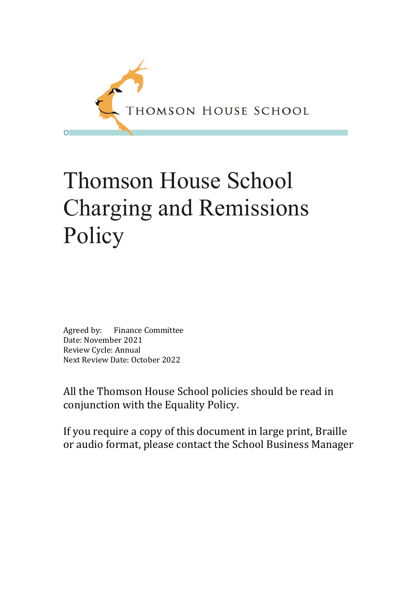

# Thomson House School Charging and Remissions Policy

Agreed by: Finance Committee Date: November 2021 Review Cycle: Annual Next Review Date: October 2022

All the Thomson House School policies should be read in conjunction with the Equality Policy.

If you require a copy of this document in large print, Braille or audio format, please contact the School Business Manager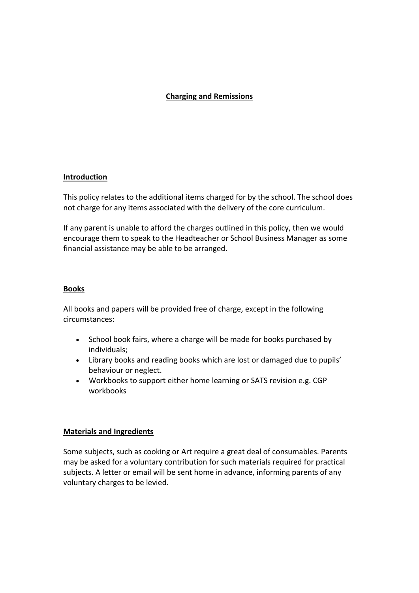# **Charging and Remissions**

## **Introduction**

This policy relates to the additional items charged for by the school. The school does not charge for any items associated with the delivery of the core curriculum.

If any parent is unable to afford the charges outlined in this policy, then we would encourage them to speak to the Headteacher or School Business Manager as some financial assistance may be able to be arranged.

## **Books**

All books and papers will be provided free of charge, except in the following circumstances:

- School book fairs, where a charge will be made for books purchased by individuals;
- Library books and reading books which are lost or damaged due to pupils' behaviour or neglect.
- Workbooks to support either home learning or SATS revision e.g. CGP workbooks

## **Materials and Ingredients**

Some subjects, such as cooking or Art require a great deal of consumables. Parents may be asked for a voluntary contribution for such materials required for practical subjects. A letter or email will be sent home in advance, informing parents of any voluntary charges to be levied.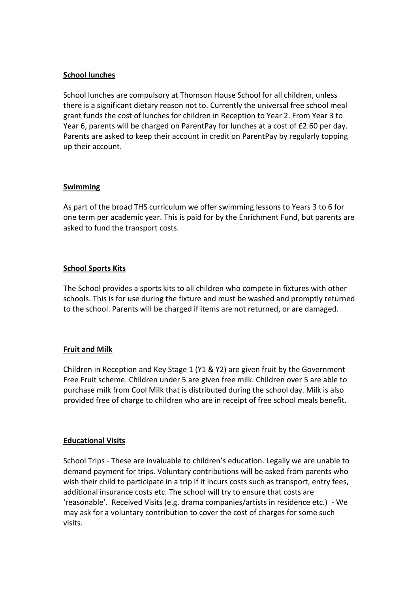## **School lunches**

School lunches are compulsory at Thomson House School for all children, unless there is a significant dietary reason not to. Currently the universal free school meal grant funds the cost of lunches for children in Reception to Year 2. From Year 3 to Year 6, parents will be charged on ParentPay for lunches at a cost of £2.60 per day. Parents are asked to keep their account in credit on ParentPay by regularly topping up their account.

## **Swimming**

As part of the broad THS curriculum we offer swimming lessons to Years 3 to 6 for one term per academic year. This is paid for by the Enrichment Fund, but parents are asked to fund the transport costs.

## **School Sports Kits**

The School provides a sports kits to all children who compete in fixtures with other schools. This is for use during the fixture and must be washed and promptly returned to the school. Parents will be charged if items are not returned, or are damaged.

## **Fruit and Milk**

Children in Reception and Key Stage 1 (Y1 & Y2) are given fruit by the Government Free Fruit scheme. Children under 5 are given free milk. Children over 5 are able to purchase milk from Cool Milk that is distributed during the school day. Milk is also provided free of charge to children who are in receipt of free school meals benefit.

## **Educational Visits**

School Trips - These are invaluable to children's education. Legally we are unable to demand payment for trips. Voluntary contributions will be asked from parents who wish their child to participate in a trip if it incurs costs such as transport, entry fees, additional insurance costs etc. The school will try to ensure that costs are 'reasonable'. Received Visits (e.g. drama companies/artists in residence etc.) - We may ask for a voluntary contribution to cover the cost of charges for some such visits.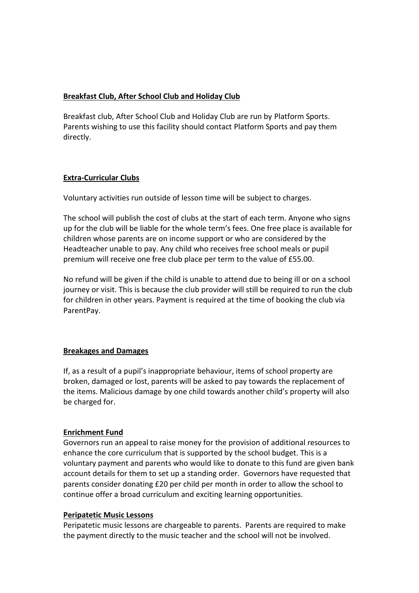## **Breakfast Club, After School Club and Holiday Club**

Breakfast club, After School Club and Holiday Club are run by Platform Sports. Parents wishing to use this facility should contact Platform Sports and pay them directly.

# **Extra-Curricular Clubs**

Voluntary activities run outside of lesson time will be subject to charges.

The school will publish the cost of clubs at the start of each term. Anyone who signs up for the club will be liable for the whole term's fees. One free place is available for children whose parents are on income support or who are considered by the Headteacher unable to pay. Any child who receives free school meals or pupil premium will receive one free club place per term to the value of £55.00.

No refund will be given if the child is unable to attend due to being ill or on a school journey or visit. This is because the club provider will still be required to run the club for children in other years. Payment is required at the time of booking the club via ParentPay.

# **Breakages and Damages**

If, as a result of a pupil's inappropriate behaviour, items of school property are broken, damaged or lost, parents will be asked to pay towards the replacement of the items. Malicious damage by one child towards another child's property will also be charged for.

## **Enrichment Fund**

Governors run an appeal to raise money for the provision of additional resources to enhance the core curriculum that is supported by the school budget. This is a voluntary payment and parents who would like to donate to this fund are given bank account details for them to set up a standing order. Governors have requested that parents consider donating £20 per child per month in order to allow the school to continue offer a broad curriculum and exciting learning opportunities.

## **Peripatetic Music Lessons**

Peripatetic music lessons are chargeable to parents. Parents are required to make the payment directly to the music teacher and the school will not be involved.